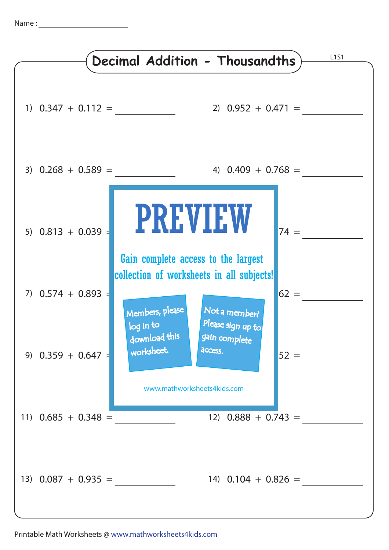